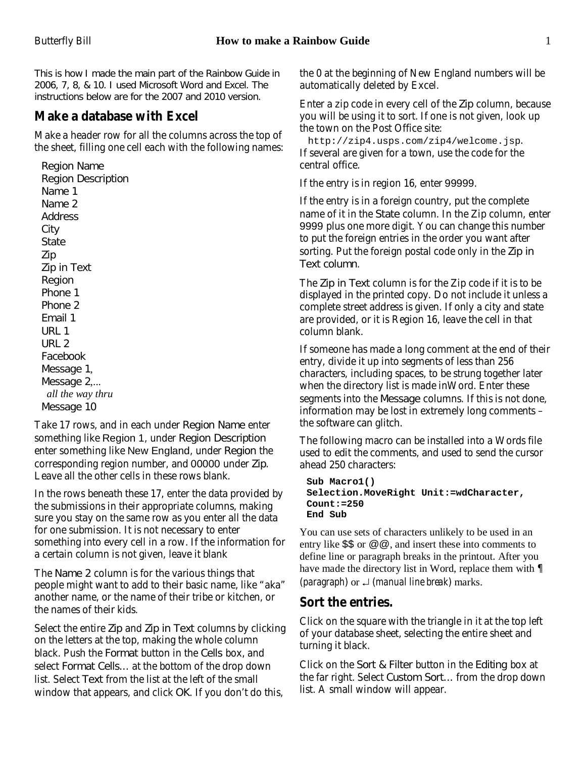This is how I made the main part of the Rainbow Guide in 2006, 7, 8, & 10. I used Microsoft Word and Excel. The instructions below are for the 2007 and 2010 version.

### **Make a database with Excel**

Make a header row for all the columns across the top of the sheet, filling one cell each with the following names:

Region Name Region Description Name 1 Name 2 Address City State Zip Zip in Text Region Phone 1 Phone 2 Email 1 URL 1 URL 2 Facebook Message 1, Message 2.... *all the way thru* Message 10

Take 17 rows, and in each under Region Name enter something like Region 1, under Region Description enter something like New England, under Region the corresponding region number, and 00000 under Zip. Leave all the other cells in these rows blank.

In the rows beneath these 17, enter the data provided by the submissions in their appropriate columns, making sure you stay on the same row as you enter all the data for one submission. It is not necessary to enter something into every cell in a row. If the information for a certain column is not given, leave it blank

The Name 2 column is for the various things that people might want to add to their basic name, like "aka" another name, or the name of their tribe or kitchen, or the names of their kids.

Select the entire Zip and Zip in Text columns by clicking on the letters at the top, making the whole column black. Push the Format button in the Cells box, and select Format Cells... at the bottom of the drop down list. Select Text from the list at the left of the small window that appears, and click OK. If you don't do this,

the 0 at the beginning of New England numbers will be automatically deleted by Excel.

Enter a zip code in every cell of the Zip column, because you will be using it to sort. If one is not given, look up the town on the Post Office site:

http://zip4.usps.com/zip4/welcome.jsp. If several are given for a town, use the code for the central office.

If the entry is in region 16, enter 99999.

If the entry is in a foreign country, put the complete name of it in the State column. In the Zip column, enter 9999 plus one more digit. You can change this number to put the foreign entries in the order you want after sorting. Put the foreign postal code only in the Zip in Text column.

The Zip in Text column is for the Zip code if it is to be displayed in the printed copy. Do not include it unless a complete street address is given. If only a city and state are provided, or it is Region 16, leave the cell in that column blank.

If someone has made a long comment at the end of their entry, divide it up into segments of less than 256 characters, including spaces, to be strung together later when the directory list is made inWord. Enter these segments into the Message columns. If this is not done, information may be lost in extremely long comments – the software can glitch.

The following macro can be installed into a Words file used to edit the comments, and used to send the cursor ahead 250 characters:

```
Sub Macro1()
Selection.MoveRight Unit:=wdCharacter,
Count:=250
End Sub
```
You can use sets of characters unlikely to be used in an entry like \$\$ or @@, and insert these into comments to define line or paragraph breaks in the printout. After you have made the directory list in Word, replace them with ¶ (*paragraph*) or  $\perp$  (*manual line break*) marks.

### **Sort the entries.**

Click on the square with the triangle in it at the top left of your database sheet, selecting the entire sheet and turning it black.

Click on the Sort & Filter button in the Editing box at the far right. Select Custom Sort... from the drop down list. A small window will appear.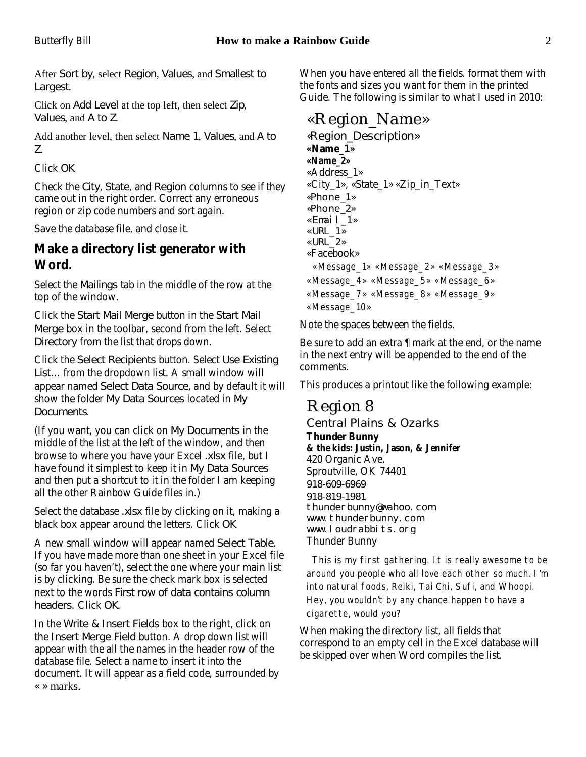After Sort by, select Region, Values, and Smallest to Largest.

Click on Add Level at the top left, then select Zip, Values, and A to Z.

Add another level, then select Name 1, Values, and A to Z.

Click OK

Check the City, State, and Region columns to see if they came out in the right order. Correct any erroneous region or zip code numbers and sort again.

Save the database file, and close it.

#### **Make a directory list generator with Word.**

Select the Mailings tab in the middle of the row at the top of the window.

Click the Start Mail Merge button in the Start Mail Merge box in the toolbar, second from the left. Select Directory from the list that drops down.

Click the Select Recipients button. Select Use Existing List... from the dropdown list. A small window will appear named Select Data Source, and by default it will show the folder My Data Sources located in My Documents.

(If you want, you can click on My Documents in the middle of the list at the left of the window, and then browse to where you have your Excel .xlsx file, but I have found it simplest to keep it in My Data Sources and then put a shortcut to it in the folder I am keeping all the other Rainbow Guide files in.)

Select the database .xlsx file by clicking on it, making a black box appear around the letters. Click OK

A new small window will appear named Select Table. If you have made more than one sheet in your Excel file (so far you haven't), select the one where your main list is by clicking. Be sure the check mark box is selected next to the words First row of data contains column headers. Click OK.

In the Write & Insert Fields box to the right, click on the Insert Merge Field button. A drop down list will appear with the all the names in the header row of the database file. Select a name to insert it into the document. It will appear as a field code, surrounded by « » marks.

When you have entered all the fields. format them with the fonts and sizes you want for them in the printed Guide. The following is similar to what I used in 2010:

## «Region\_Name»

*«Region\_Description»* **«Name\_1» «Name\_2»** «Address\_1» «City\_1», «State\_1» «Zip\_in\_Text» «Phone\_1» «Phone\_2» «Email\_1» «URL\_1» «URL\_2» «Facebook» «Message\_1» «Message\_2» «Message\_3» «Message\_4» «Message\_5» «Message\_6» «Message\_7» «Message\_8» «Message\_9» «Message\_10»

Note the spaces between the fields.

Be sure to add an extra ¶ mark at the end, or the name in the next entry will be appended to the end of the comments.

This produces a printout like the following example:

# Region 8

*Central Plains & Ozarks*

**Thunder Bunny & the kids: Justin, Jason, & Jennifer** 420 Organic Ave. Sproutville, OK 74401 918-609-6969 918-819-1981 thunderbunny@wahoo.com www.thunderbunny.com www.loudrabbits.org Thunder Bunny

 This is my first gathering. It is really awesome to be around you people who all love each other so much. I'm into natural foods, Reiki, Tai Chi, Sufi, and Whoopi. Hey, you wouldn't by any chance happen to have a cigarette, would you?

When making the directory list, all fields that correspond to an empty cell in the Excel database will be skipped over when Word compiles the list.